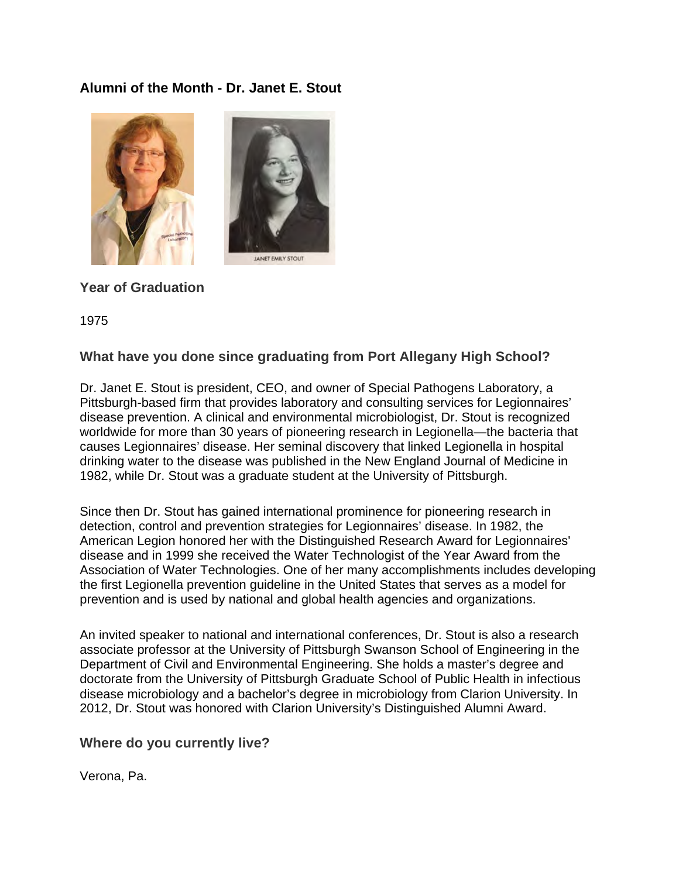## **Alumni of the Month - Dr. Janet E. Stout**





# **Year of Graduation**

1975

### **What have you done since graduating from Port Allegany High School?**

Dr. Janet E. Stout is president, CEO, and owner of Special Pathogens Laboratory, a Pittsburgh-based firm that provides laboratory and consulting services for Legionnaires' disease prevention. A clinical and environmental microbiologist, Dr. Stout is recognized worldwide for more than 30 years of pioneering research in Legionella—the bacteria that causes Legionnaires' disease. Her seminal discovery that linked Legionella in hospital drinking water to the disease was published in the New England Journal of Medicine in 1982, while Dr. Stout was a graduate student at the University of Pittsburgh.

Since then Dr. Stout has gained international prominence for pioneering research in detection, control and prevention strategies for Legionnaires' disease. In 1982, the American Legion honored her with the Distinguished Research Award for Legionnaires' disease and in 1999 she received the Water Technologist of the Year Award from the Association of Water Technologies. One of her many accomplishments includes developing the first Legionella prevention guideline in the United States that serves as a model for prevention and is used by national and global health agencies and organizations.

An invited speaker to national and international conferences, Dr. Stout is also a research associate professor at the University of Pittsburgh Swanson School of Engineering in the Department of Civil and Environmental Engineering. She holds a master's degree and doctorate from the University of Pittsburgh Graduate School of Public Health in infectious disease microbiology and a bachelor's degree in microbiology from Clarion University. In 2012, Dr. Stout was honored with Clarion University's Distinguished Alumni Award.

#### **Where do you currently live?**

Verona, Pa.